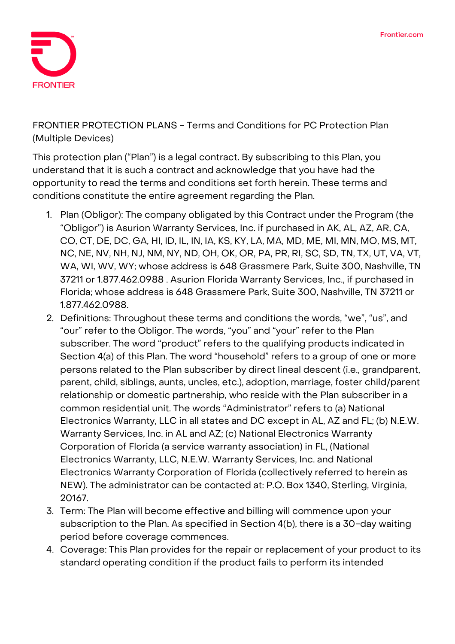

**FRONTIER PROTECTION PLANS - Terms and Conditions for PC Protection Plan (Multiple Devices)**

This protection plan ("Plan") is a legal contract. By subscribing to this Plan, you understand that it is such a contract and acknowledge that you have had the opportunity to read the terms and conditions set forth herein. These terms and conditions constitute the entire agreement regarding the Plan.

- 1. **Plan (Obligor):** The company obligated by this Contract under the Program (the "Obligor") is Asurion Warranty Services, Inc. if purchased in AK, AL, AZ, AR, CA, CO, CT, DE, DC, GA, HI, ID, IL, IN, IA, KS, KY, LA, MA, MD, ME, MI, MN, MO, MS, MT, NC, NE, NV, NH, NJ, NM, NY, ND, OH, OK, OR, PA, PR, RI, SC, SD, TN, TX, UT, VA, VT, WA, WI, WV, WY; whose address is 648 Grassmere Park, Suite 300, Nashville, TN 37211 or 1.877.462.0988 . Asurion Florida Warranty Services, Inc., if purchased in Florida; whose address is 648 Grassmere Park, Suite 300, Nashville, TN 37211 or 1.877.462.0988.
- 2. **Definitions:** Throughout these terms and conditions the words, "we", "us", and "our" refer to the Obligor. The words, "you" and "your" refer to the Plan subscriber. The word "product" refers to the qualifying products indicated in Section 4(a) of this Plan. The word "household" refers to a group of one or more persons related to the Plan subscriber by direct lineal descent (i.e., grandparent, parent, child, siblings, aunts, uncles, etc.), adoption, marriage, foster child/parent relationship or domestic partnership, who reside with the Plan subscriber in a common residential unit. The words "Administrator" refers to (a) National Electronics Warranty, LLC in all states and DC except in AL, AZ and FL; (b) N.E.W. Warranty Services, Inc. in AL and AZ; (c) National Electronics Warranty Corporation of Florida (a service warranty association) in FL, (National Electronics Warranty, LLC, N.E.W. Warranty Services, Inc. and National Electronics Warranty Corporation of Florida (collectively referred to herein as NEW). The administrator can be contacted at: P.O. Box 1340, Sterling, Virginia, 20167.
- 3. **Term:** The Plan will become effective and billing will commence upon your subscription to the Plan. **As specified in Section 4(b), there is a 30-day waiting period before coverage commences.**
- 4. **Coverage:** This Plan provides for the repair or replacement of your product to its standard operating condition if the product fails to perform its intended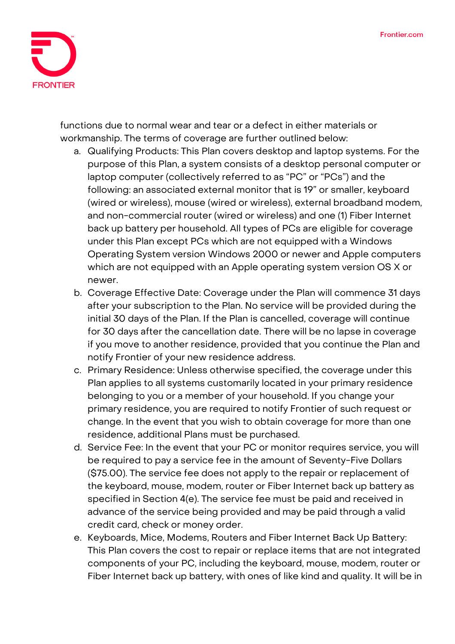

functions due to normal wear and tear or a defect in either materials or workmanship. The terms of coverage are further outlined below:

- a. Qualifying Products: This Plan covers desktop and laptop systems. For the purpose of this Plan, a system consists of a desktop personal computer or laptop computer (collectively referred to as "PC" or "PCs") and the following: an associated external monitor that is 19" or smaller, keyboard (wired or wireless), mouse (wired or wireless), external broadband modem, and non-commercial router (wired or wireless) and one (1) Fiber Internet back up battery per household. All types of PCs are eligible for coverage under this Plan except PCs which are not equipped with a Windows Operating System version Windows 2000 or newer and Apple computers which are not equipped with an Apple operating system version OS X or newer.
- b. Coverage Effective Date: **Coverage under the Plan will commence 31 days after your subscription to the Plan. No service will be provided during the initial 30 days of the Plan. If the Plan is cancelled, coverage will continue for 30 days after the cancellation date.** There will be no lapse in coverage if you move to another residence, provided that you continue the Plan and notify Frontier of your new residence address.
- c. Primary Residence: Unless otherwise specified, the coverage under this Plan applies to all systems customarily located in your primary residence belonging to you or a member of your household. If you change your primary residence, you are required to notify Frontier of such request or change. In the event that you wish to obtain coverage for more than one residence, additional Plans must be purchased.
- d. Service Fee: In the event that your PC or monitor requires service, you will be required to pay a service fee in the amount of Seventy-Five Dollars (\$75.00). The service fee does not apply to the repair or replacement of the keyboard, mouse, modem, router or Fiber Internet back up battery as specified in Section 4(e). The service fee must be paid and received in advance of the service being provided and may be paid through a valid credit card, check or money order.
- e. Keyboards, Mice, Modems, Routers and Fiber Internet Back Up Battery: This Plan covers the cost to repair or replace items that are not integrated components of your PC, including the keyboard, mouse, modem, router or Fiber Internet back up battery, with ones of like kind and quality. It will be in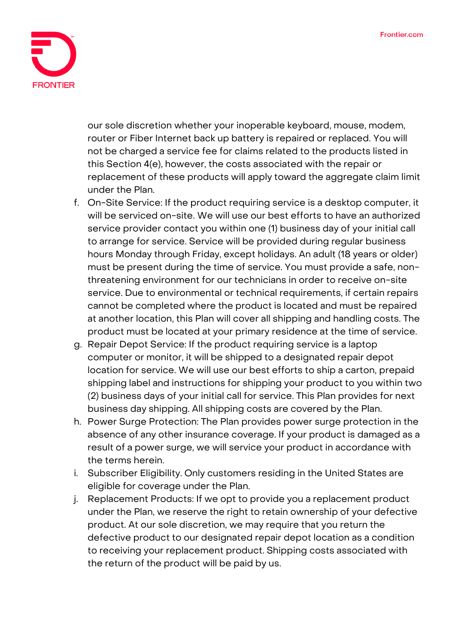

our sole discretion whether your inoperable keyboard, mouse, modem, router or Fiber Internet back up battery is repaired or replaced. You will not be charged a service fee for claims related to the products listed in this Section 4(e), however, the costs associated with the repair or replacement of these products will apply toward the aggregate claim limit under the Plan.

- f. On-Site Service: If the product requiring service is a desktop computer, it will be serviced on-site. We will use our best efforts to have an authorized service provider contact you within one (1) business day of your initial call to arrange for service. Service will be provided during regular business hours Monday through Friday, except holidays. An adult (18 years or older) must be present during the time of service. You must provide a safe, nonthreatening environment for our technicians in order to receive on-site service. Due to environmental or technical requirements, if certain repairs cannot be completed where the product is located and must be repaired at another location, this Plan will cover all shipping and handling costs. The product must be located at your primary residence at the time of service.
- g. Repair Depot Service: If the product requiring service is a laptop computer or monitor, it will be shipped to a designated repair depot location for service. We will use our best efforts to ship a carton, prepaid shipping label and instructions for shipping your product to you within two (2) business days of your initial call for service. This Plan provides for next business day shipping. All shipping costs are covered by the Plan.
- h. Power Surge Protection: The Plan provides power surge protection in the absence of any other insurance coverage. If your product is damaged as a result of a power surge, we will service your product in accordance with the terms herein.
- i. Subscriber Eligibility. Only customers residing in the United States are eligible for coverage under the Plan.
- j. Replacement Products: If we opt to provide you a replacement product under the Plan, we reserve the right to retain ownership of your defective product. At our sole discretion, we may require that you return the defective product to our designated repair depot location as a condition to receiving your replacement product. Shipping costs associated with the return of the product will be paid by us.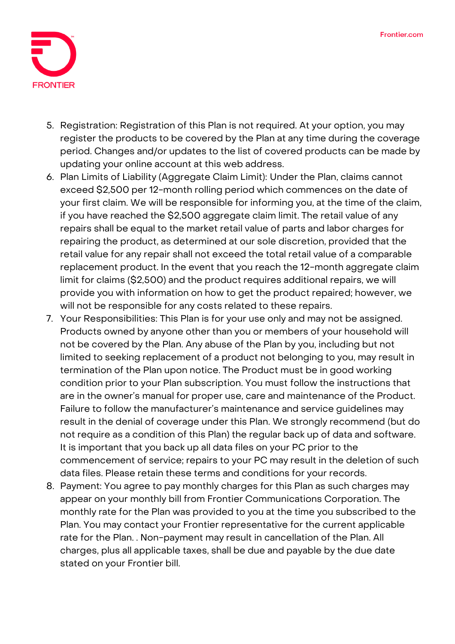

- 5. **Registration:** Registration of this Plan is not required. At your option, you may register the products to be covered by the Plan at any time during the coverage period. Changes and/or updates to the list of covered products can be made by updating your online account at this web address.
- 6. **Plan Limits of Liability (Aggregate Claim Limit):** Under the Plan, claims cannot exceed \$2,500 per 12-month rolling period which commences on the date of your first claim. We will be responsible for informing you, at the time of the claim, if you have reached the \$2,500 aggregate claim limit. The retail value of any repairs shall be equal to the market retail value of parts and labor charges for repairing the product, as determined at our sole discretion, provided that the retail value for any repair shall not exceed the total retail value of a comparable replacement product. In the event that you reach the 12-month aggregate claim limit for claims (\$2,500) and the product requires additional repairs, we will provide you with information on how to get the product repaired; however, we will not be responsible for any costs related to these repairs.
- 7. **Your Responsibilities:** This Plan is for your use only and may not be assigned. Products owned by anyone other than you or members of your household will not be covered by the Plan. Any abuse of the Plan by you, including but not limited to seeking replacement of a product not belonging to you, may result in termination of the Plan upon notice. The Product must be in good working condition prior to your Plan subscription. You must follow the instructions that are in the owner's manual for proper use, care and maintenance of the Product. Failure to follow the manufacturer's maintenance and service guidelines may result in the denial of coverage under this Plan. We strongly recommend (but do not require as a condition of this Plan) the regular back up of data and software. It is important that you back up all data files on your PC prior to the commencement of service; repairs to your PC may result in the deletion of such data files. Please retain these terms and conditions for your records.
- 8. **Payment:** You agree to pay monthly charges for this Plan as such charges may appear on your monthly bill from Frontier Communications Corporation. The monthly rate for the Plan was provided to you at the time you subscribed to the Plan. You may contact your Frontier representative for the current applicable rate for the Plan. . Non-payment may result in cancellation of the Plan. All charges, plus all applicable taxes, shall be due and payable by the due date stated on your Frontier bill.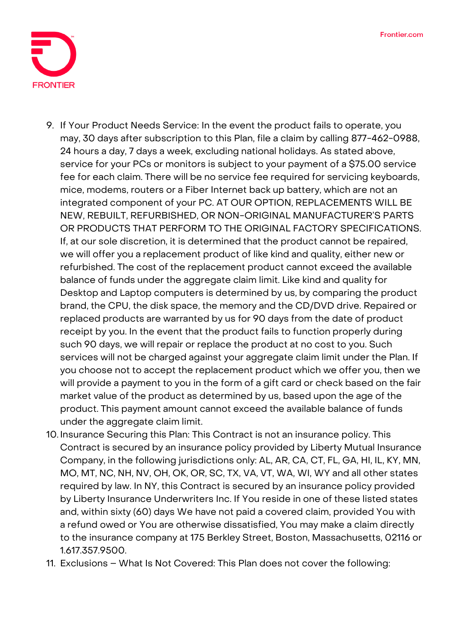

- 9. **If Your Product Needs Service:** In the event the product fails to operate, you may, 30 days after subscription to this Plan, file a claim by calling 877-462-0988, 24 hours a day, 7 days a week, excluding national holidays. As stated above, service for your PCs or monitors is subject to your payment of a \$75.00 service fee for each claim. There will be no service fee required for servicing keyboards, mice, modems, routers or a Fiber Internet back up battery, which are not an integrated component of your PC. **AT OUR OPTION, REPLACEMENTS WILL BE NEW, REBUILT, REFURBISHED, OR NON-ORIGINAL MANUFACTURER'S PARTS OR PRODUCTS THAT PERFORM TO THE ORIGINAL FACTORY SPECIFICATIONS.** If, at our sole discretion, it is determined that the product cannot be repaired, we will offer you a replacement product of like kind and quality, either new or refurbished. The cost of the replacement product cannot exceed the available balance of funds under the aggregate claim limit. Like kind and quality for Desktop and Laptop computers is determined by us, by comparing the product brand, the CPU, the disk space, the memory and the CD/DVD drive. Repaired or replaced products are warranted by us for 90 days from the date of product receipt by you. In the event that the product fails to function properly during such 90 days, we will repair or replace the product at no cost to you. Such services will not be charged against your aggregate claim limit under the Plan. If you choose not to accept the replacement product which we offer you, then we will provide a payment to you in the form of a gift card or check based on the fair market value of the product as determined by us, based upon the age of the product. This payment amount cannot exceed the available balance of funds under the aggregate claim limit.
- 10. **Insurance Securing this Plan:** This Contract is not an insurance policy. This Contract is secured by an insurance policy provided by Liberty Mutual Insurance Company, in the following jurisdictions only: AL, AR, CA, CT, FL, GA, HI, IL, KY, MN, MO, MT, NC, NH, NV, OH, OK, OR, SC, TX, VA, VT, WA, WI, WY and all other states required by law. In NY, this Contract is secured by an insurance policy provided by Liberty Insurance Underwriters Inc. If You reside in one of these listed states and, within sixty (60) days We have not paid a covered claim, provided You with a refund owed or You are otherwise dissatisfied, You may make a claim directly to the insurance company at 175 Berkley Street, Boston, Massachusetts, 02116 or 1.617.357.9500.
- 11. **Exclusions – What Is Not Covered:** This Plan does not cover the following: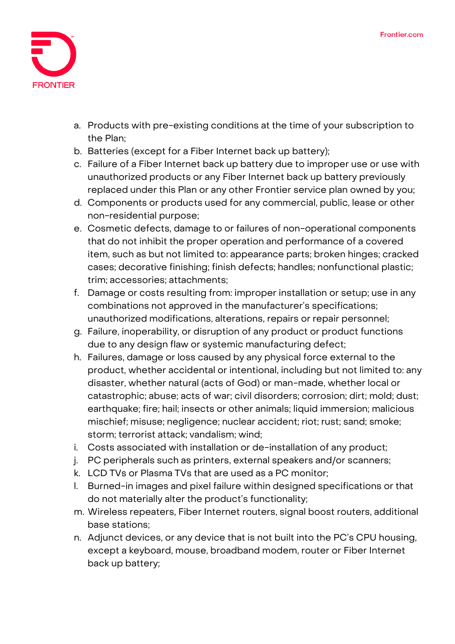

- a. Products with pre-existing conditions at the time of your subscription to the Plan;
- b. Batteries (except for a Fiber Internet back up battery);
- c. Failure of a Fiber Internet back up battery due to improper use or use with unauthorized products or any Fiber Internet back up battery previously replaced under this Plan or any other Frontier service plan owned by you;
- d. Components or products used for any commercial, public, lease or other non-residential purpose;
- e. Cosmetic defects, damage to or failures of non-operational components that do not inhibit the proper operation and performance of a covered item, such as but not limited to: appearance parts; broken hinges; cracked cases; decorative finishing; finish defects; handles; nonfunctional plastic; trim; accessories; attachments;
- f. Damage or costs resulting from: improper installation or setup; use in any combinations not approved in the manufacturer's specifications; unauthorized modifications, alterations, repairs or repair personnel;
- g. Failure, inoperability, or disruption of any product or product functions due to any design flaw or systemic manufacturing defect;
- h. Failures, damage or loss caused by any physical force external to the product, whether accidental or intentional, including but not limited to: any disaster, whether natural (acts of God) or man-made, whether local or catastrophic; abuse; acts of war; civil disorders; corrosion; dirt; mold; dust; earthquake; fire; hail; insects or other animals; liquid immersion; malicious mischief; misuse; negligence; nuclear accident; riot; rust; sand; smoke; storm; terrorist attack; vandalism; wind;
- i. Costs associated with installation or de-installation of any product;
- j. PC peripherals such as printers, external speakers and/or scanners;
- k. LCD TVs or Plasma TVs that are used as a PC monitor;
- l. Burned-in images and pixel failure within designed specifications or that do not materially alter the product's functionality;
- m. Wireless repeaters, Fiber Internet routers, signal boost routers, additional base stations;
- n. Adjunct devices, or any device that is not built into the PC's CPU housing, except a keyboard, mouse, broadband modem, router or Fiber Internet back up battery;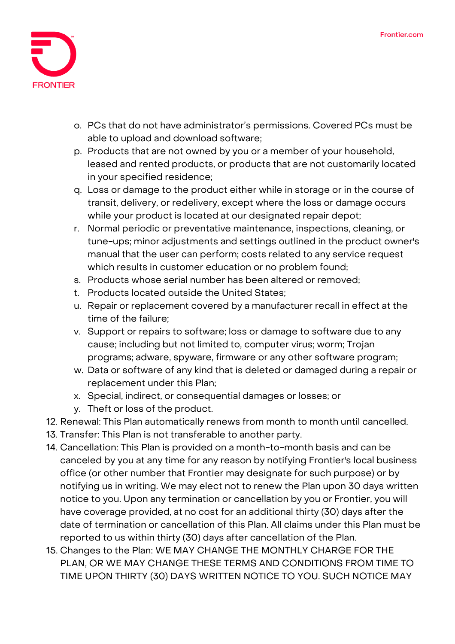

- o. PCs that do not have administrator's permissions. Covered PCs must be able to upload and download software;
- p. Products that are not owned by you or a member of your household, leased and rented products, or products that are not customarily located in your specified residence;
- q. Loss or damage to the product either while in storage or in the course of transit, delivery, or redelivery, except where the loss or damage occurs while your product is located at our designated repair depot;
- r. Normal periodic or preventative maintenance, inspections, cleaning, or tune-ups; minor adjustments and settings outlined in the product owner's manual that the user can perform; costs related to any service request which results in customer education or no problem found;
- s. Products whose serial number has been altered or removed;
- t. Products located outside the United States;
- u. Repair or replacement covered by a manufacturer recall in effect at the time of the failure;
- v. Support or repairs to software; loss or damage to software due to any cause; including but not limited to, computer virus; worm; Trojan programs; adware, spyware, firmware or any other software program;
- w. Data or software of any kind that is deleted or damaged during a repair or replacement under this Plan;
- x. Special, indirect, or consequential damages or losses; or
- y. Theft or loss of the product.
- 12. **Renewal:** This Plan automatically renews from month to month until cancelled.
- 13. **Transfer:** This Plan is not transferable to another party.
- 14. **Cancellation:** This Plan is provided on a month-to-month basis and can be canceled by you at any time for any reason by notifying Frontier's local business office (or other number that Frontier may designate for such purpose) or by notifying us in writing. We may elect not to renew the Plan upon 30 days written notice to you. Upon any termination or cancellation by you or Frontier, you will have coverage provided, at no cost for an additional thirty (30) days after the date of termination or cancellation of this Plan. All claims under this Plan must be reported to us within thirty (30) days after cancellation of the Plan.
- 15. **Changes to the Plan:** WE MAY CHANGE THE MONTHLY CHARGE FOR THE PLAN, OR WE MAY CHANGE THESE TERMS AND CONDITIONS FROM TIME TO TIME UPON THIRTY (30) DAYS WRITTEN NOTICE TO YOU. SUCH NOTICE MAY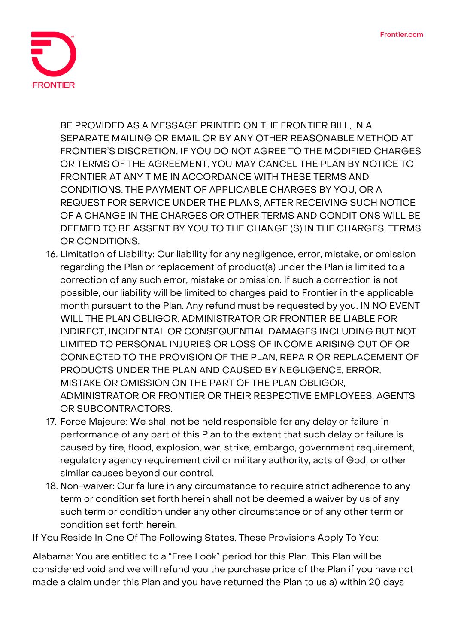

BE PROVIDED AS A MESSAGE PRINTED ON THE FRONTIER BILL, IN A SEPARATE MAILING OR EMAIL OR BY ANY OTHER REASONABLE METHOD AT FRONTIER'S DISCRETION. IF YOU DO NOT AGREE TO THE MODIFIED CHARGES OR TERMS OF THE AGREEMENT, YOU MAY CANCEL THE PLAN BY NOTICE TO FRONTIER AT ANY TIME IN ACCORDANCE WITH THESE TERMS AND CONDITIONS. THE PAYMENT OF APPLICABLE CHARGES BY YOU, OR A REQUEST FOR SERVICE UNDER THE PLANS, AFTER RECEIVING SUCH NOTICE OF A CHANGE IN THE CHARGES OR OTHER TERMS AND CONDITIONS WILL BE DEEMED TO BE ASSENT BY YOU TO THE CHANGE (S) IN THE CHARGES, TERMS OR CONDITIONS.

- 16. **Limitation of Liability:** Our liability for any negligence, error, mistake, or omission regarding the Plan or replacement of product(s) under the Plan is limited to a correction of any such error, mistake or omission. If such a correction is not possible, our liability will be limited to charges paid to Frontier in the applicable month pursuant to the Plan. Any refund must be requested by you. IN NO EVENT WILL THE PLAN OBLIGOR, ADMINISTRATOR OR FRONTIER BE LIABLE FOR INDIRECT, INCIDENTAL OR CONSEQUENTIAL DAMAGES INCLUDING BUT NOT LIMITED TO PERSONAL INJURIES OR LOSS OF INCOME ARISING OUT OF OR CONNECTED TO THE PROVISION OF THE PLAN, REPAIR OR REPLACEMENT OF PRODUCTS UNDER THE PLAN AND CAUSED BY NEGLIGENCE, ERROR, MISTAKE OR OMISSION ON THE PART OF THE PLAN OBLIGOR, ADMINISTRATOR OR FRONTIER OR THEIR RESPECTIVE EMPLOYEES, AGENTS OR SUBCONTRACTORS.
- 17. **Force Majeure:** We shall not be held responsible for any delay or failure in performance of any part of this Plan to the extent that such delay or failure is caused by fire, flood, explosion, war, strike, embargo, government requirement, regulatory agency requirement civil or military authority, acts of God, or other similar causes beyond our control.
- 18. **Non-waiver:** Our failure in any circumstance to require strict adherence to any term or condition set forth herein shall not be deemed a waiver by us of any such term or condition under any other circumstance or of any other term or condition set forth herein.

**If You Reside In One Of The Following States, These Provisions Apply To You:**

**Alabama:** You are entitled to a "Free Look" period for this Plan. This Plan will be considered void and we will refund you the purchase price of the Plan if you have not made a claim under this Plan and you have returned the Plan to us a) within 20 days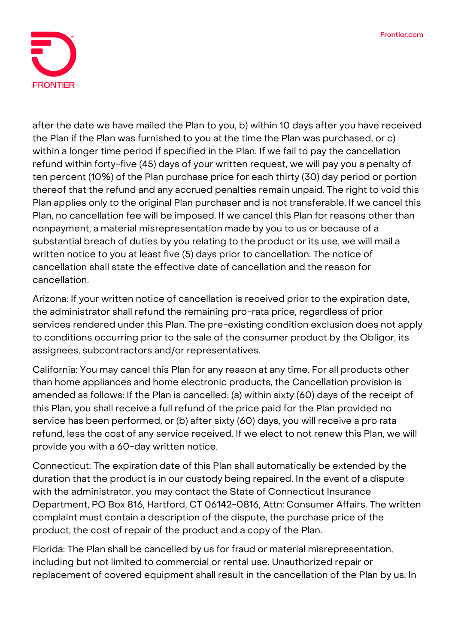

after the date we have mailed the Plan to you, b) within 10 days after you have received the Plan if the Plan was furnished to you at the time the Plan was purchased, or c) within a longer time period if specified in the Plan. If we fail to pay the cancellation refund within forty-five (45) days of your written request, we will pay you a penalty of ten percent (10%) of the Plan purchase price for each thirty (30) day period or portion thereof that the refund and any accrued penalties remain unpaid. The right to void this Plan applies only to the original Plan purchaser and is not transferable. If we cancel this Plan, no cancellation fee will be imposed. If we cancel this Plan for reasons other than nonpayment, a material misrepresentation made by you to us or because of a substantial breach of duties by you relating to the product or its use, we will mail a written notice to you at least five (5) days prior to cancellation. The notice of cancellation shall state the effective date of cancellation and the reason for cancellation.

**Arizona:** If your written notice of cancellation is received prior to the expiration date, the administrator shall refund the remaining pro-rata price, regardless of prior services rendered under this Plan. The pre-existing condition exclusion does not apply to conditions occurring prior to the sale of the consumer product by the Obligor, its assignees, subcontractors and/or representatives.

**California:** You may cancel this Plan for any reason at any time. For all products other than home appliances and home electronic products, the Cancellation provision is amended as follows: If the Plan is cancelled: (a) within sixty (60) days of the receipt of this Plan, you shall receive a full refund of the price paid for the Plan provided no service has been performed, or (b) after sixty (60) days, you will receive a pro rata refund, less the cost of any service received. If we elect to not renew this Plan, we will provide you with a 60-day written notice.

**Connecticut:** The expiration date of this Plan shall automatically be extended by the duration that the product is in our custody being repaired. In the event of a dispute with the administrator, you may contact the State of Connecticut Insurance Department, PO Box 816, Hartford, CT 06142-0816, Attn: Consumer Affairs. The written complaint must contain a description of the dispute, the purchase price of the product, the cost of repair of the product and a copy of the Plan.

**Florida:** The Plan shall be cancelled by us for fraud or material misrepresentation, including but not limited to commercial or rental use. Unauthorized repair or replacement of covered equipment shall result in the cancellation of the Plan by us. In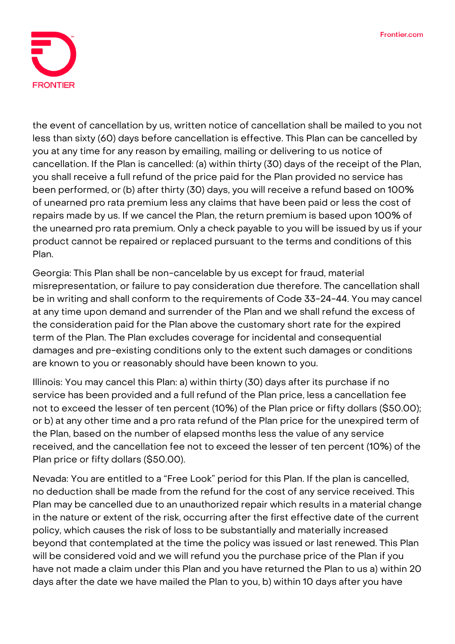

the event of cancellation by us, written notice of cancellation shall be mailed to you not less than sixty (60) days before cancellation is effective. This Plan can be cancelled by you at any time for any reason by emailing, mailing or delivering to us notice of cancellation. If the Plan is cancelled: (a) within thirty (30) days of the receipt of the Plan, you shall receive a full refund of the price paid for the Plan provided no service has been performed, or (b) after thirty (30) days, you will receive a refund based on 100% of unearned pro rata premium less any claims that have been paid or less the cost of repairs made by us. If we cancel the Plan, the return premium is based upon 100% of the unearned pro rata premium. Only a check payable to you will be issued by us if your product cannot be repaired or replaced pursuant to the terms and conditions of this Plan.

**Georgia:** This Plan shall be non-cancelable by us except for fraud, material misrepresentation, or failure to pay consideration due therefore. The cancellation shall be in writing and shall conform to the requirements of Code 33-24-44. You may cancel at any time upon demand and surrender of the Plan and we shall refund the excess of the consideration paid for the Plan above the customary short rate for the expired term of the Plan. The Plan excludes coverage for incidental and consequential damages and pre-existing conditions only to the extent such damages or conditions are known to you or reasonably should have been known to you.

**Illinois:** You may cancel this Plan: a) within thirty (30) days after its purchase if no service has been provided and a full refund of the Plan price, less a cancellation fee not to exceed the lesser of ten percent (10%) of the Plan price or fifty dollars (\$50.00); or b) at any other time and a pro rata refund of the Plan price for the unexpired term of the Plan, based on the number of elapsed months less the value of any service received, and the cancellation fee not to exceed the lesser of ten percent (10%) of the Plan price or fifty dollars (\$50.00).

**Nevada:** You are entitled to a "Free Look" period for this Plan. If the plan is cancelled, no deduction shall be made from the refund for the cost of any service received. This Plan may be cancelled due to an unauthorized repair which results in a material change in the nature or extent of the risk, occurring after the first effective date of the current policy, which causes the risk of loss to be substantially and materially increased beyond that contemplated at the time the policy was issued or last renewed. This Plan will be considered void and we will refund you the purchase price of the Plan if you have not made a claim under this Plan and you have returned the Plan to us a) within 20 days after the date we have mailed the Plan to you, b) within 10 days after you have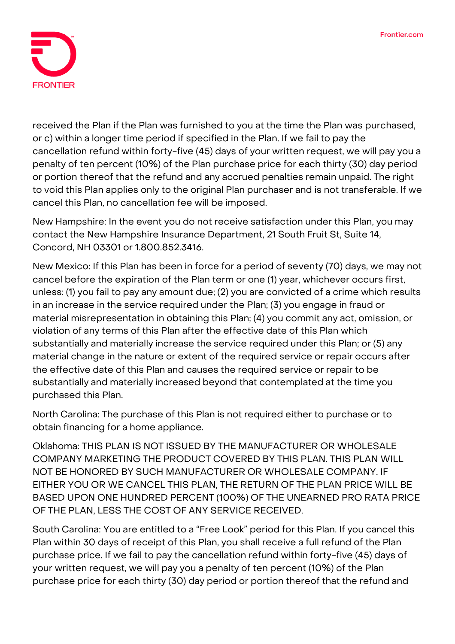

received the Plan if the Plan was furnished to you at the time the Plan was purchased, or c) within a longer time period if specified in the Plan. If we fail to pay the cancellation refund within forty-five (45) days of your written request, we will pay you a penalty of ten percent (10%) of the Plan purchase price for each thirty (30) day period or portion thereof that the refund and any accrued penalties remain unpaid. The right to void this Plan applies only to the original Plan purchaser and is not transferable. If we cancel this Plan, no cancellation fee will be imposed.

**New Hampshire:** In the event you do not receive satisfaction under this Plan, you may contact the New Hampshire Insurance Department, 21 South Fruit St, Suite 14, Concord, NH 03301 or 1.800.852.3416.

**New Mexico:** If this Plan has been in force for a period of seventy (70) days, we may not cancel before the expiration of the Plan term or one (1) year, whichever occurs first, unless: (1) you fail to pay any amount due; (2) you are convicted of a crime which results in an increase in the service required under the Plan; (3) you engage in fraud or material misrepresentation in obtaining this Plan; (4) you commit any act, omission, or violation of any terms of this Plan after the effective date of this Plan which substantially and materially increase the service required under this Plan; or (5) any material change in the nature or extent of the required service or repair occurs after the effective date of this Plan and causes the required service or repair to be substantially and materially increased beyond that contemplated at the time you purchased this Plan.

**North Carolina:** The purchase of this Plan is not required either to purchase or to obtain financing for a home appliance.

**Oklahoma:** THIS PLAN IS NOT ISSUED BY THE MANUFACTURER OR WHOLESALE COMPANY MARKETING THE PRODUCT COVERED BY THIS PLAN. THIS PLAN WILL NOT BE HONORED BY SUCH MANUFACTURER OR WHOLESALE COMPANY. IF EITHER YOU OR WE CANCEL THIS PLAN, THE RETURN OF THE PLAN PRICE WILL BE BASED UPON ONE HUNDRED PERCENT (100%) OF THE UNEARNED PRO RATA PRICE OF THE PLAN, LESS THE COST OF ANY SERVICE RECEIVED.

**South Carolina:** You are entitled to a "Free Look" period for this Plan. If you cancel this Plan within 30 days of receipt of this Plan, you shall receive a full refund of the Plan purchase price. If we fail to pay the cancellation refund within forty-five (45) days of your written request, we will pay you a penalty of ten percent (10%) of the Plan purchase price for each thirty (30) day period or portion thereof that the refund and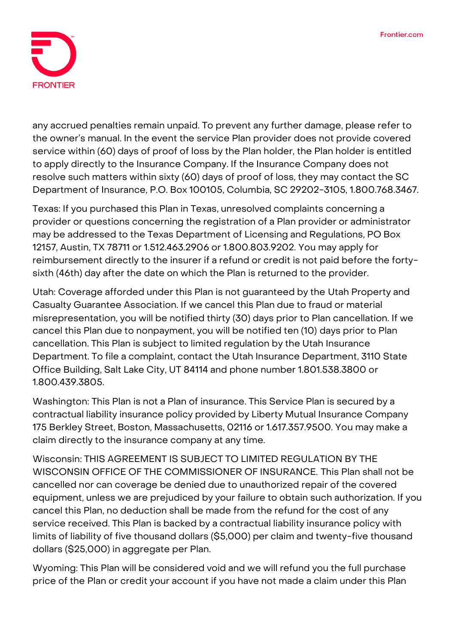

any accrued penalties remain unpaid. To prevent any further damage, please refer to the owner's manual. In the event the service Plan provider does not provide covered service within (60) days of proof of loss by the Plan holder, the Plan holder is entitled to apply directly to the Insurance Company. If the Insurance Company does not resolve such matters within sixty (60) days of proof of loss, they may contact the SC Department of Insurance, P.O. Box 100105, Columbia, SC 29202-3105, 1.800.768.3467.

**Texas:** If you purchased this Plan in Texas, unresolved complaints concerning a provider or questions concerning the registration of a Plan provider or administrator may be addressed to the Texas Department of Licensing and Regulations, PO Box 12157, Austin, TX 78711 or 1.512.463.2906 or 1.800.803.9202. You may apply for reimbursement directly to the insurer if a refund or credit is not paid before the fortysixth (46th) day after the date on which the Plan is returned to the provider.

**Utah:** Coverage afforded under this Plan is not guaranteed by the Utah Property and Casualty Guarantee Association. If we cancel this Plan due to fraud or material misrepresentation, you will be notified thirty (30) days prior to Plan cancellation. If we cancel this Plan due to nonpayment, you will be notified ten (10) days prior to Plan cancellation. This Plan is subject to limited regulation by the Utah Insurance Department. To file a complaint, contact the Utah Insurance Department, 3110 State Office Building, Salt Lake City, UT 84114 and phone number 1.801.538.3800 or 1.800.439.3805.

**Washington:** This Plan is not a Plan of insurance. This Service Plan is secured by a contractual liability insurance policy provided by Liberty Mutual Insurance Company 175 Berkley Street, Boston, Massachusetts, 02116 or 1.617.357.9500. You may make a claim directly to the insurance company at any time.

**Wisconsin: THIS AGREEMENT IS SUBJECT TO LIMITED REGULATION BY THE WISCONSIN OFFICE OF THE COMMISSIONER OF INSURANCE.** This Plan shall not be cancelled nor can coverage be denied due to unauthorized repair of the covered equipment, unless we are prejudiced by your failure to obtain such authorization. If you cancel this Plan, no deduction shall be made from the refund for the cost of any service received. This Plan is backed by a contractual liability insurance policy with limits of liability of five thousand dollars (\$5,000) per claim and twenty-five thousand dollars (\$25,000) in aggregate per Plan.

**Wyoming:** This Plan will be considered void and we will refund you the full purchase price of the Plan or credit your account if you have not made a claim under this Plan